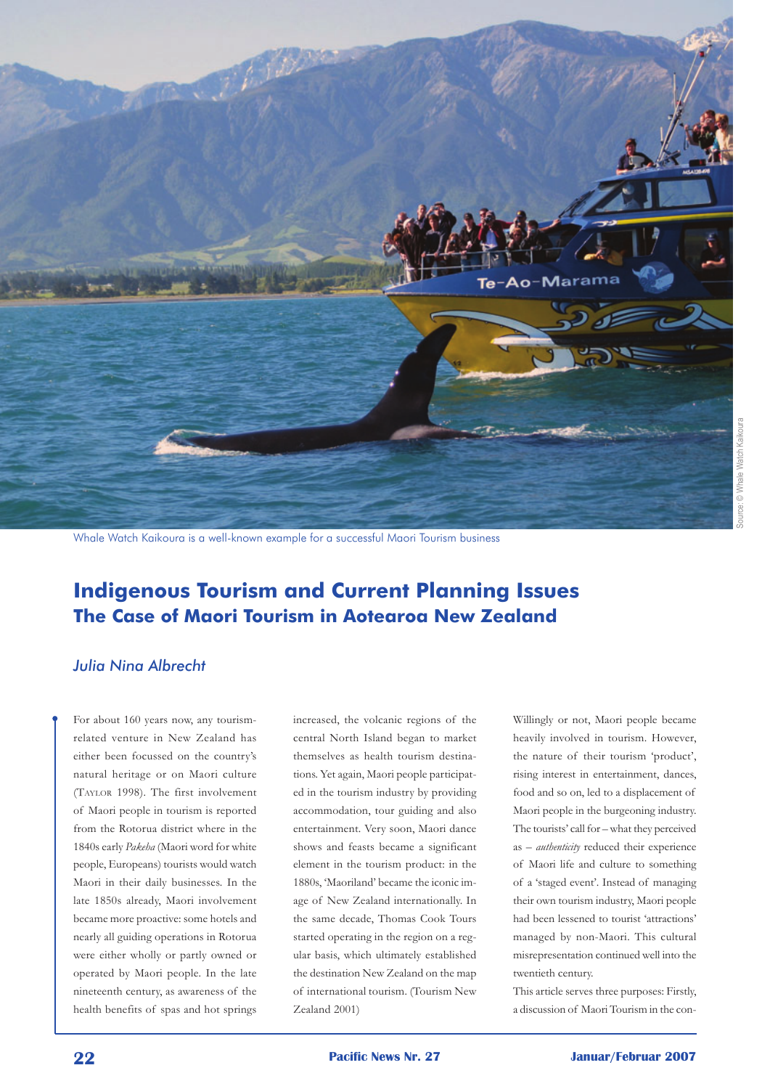

Whale Watch Kaikoura is a well-known example for a successful Maori Tourism business

# **Indigenous Tourism and Current Planning Issues The Case of Maori Tourism in Aotearoa New Zealand**

## *Julia Nina Albrecht*

For about 160 years now, any tourismrelated venture in New Zealand has either been focussed on the country's natural heritage or on Maori culture (TAYLOR 1998). The first involvement of Maori people in tourism is reported from the Rotorua district where in the 1840s early *Pakeha* (Maori word for white people, Europeans) tourists would watch Maori in their daily businesses. In the late 1850s already, Maori involvement became more proactive: some hotels and nearly all guiding operations in Rotorua were either wholly or partly owned or operated by Maori people. In the late nineteenth century, as awareness of the health benefits of spas and hot springs

increased, the volcanic regions of the central North Island began to market themselves as health tourism destinations. Yet again, Maori people participated in the tourism industry by providing accommodation, tour guiding and also entertainment. Very soon, Maori dance shows and feasts became a significant element in the tourism product: in the 1880s, 'Maoriland' became the iconic image of New Zealand internationally. In the same decade, Thomas Cook Tours started operating in the region on a regular basis, which ultimately established the destination New Zealand on the map of international tourism. (Tourism New Zealand 2001)

Willingly or not, Maori people became heavily involved in tourism. However, the nature of their tourism 'product', rising interest in entertainment, dances, food and so on, led to a displacement of Maori people in the burgeoning industry. The tourists' call for – what they perceived as – *authenticity* reduced their experience of Maori life and culture to something of a 'staged event'. Instead of managing their own tourism industry, Maori people had been lessened to tourist 'attractions' managed by non-Maori. This cultural misrepresentation continued well into the twentieth century.

This article serves three purposes: Firstly, a discussion of Maori Tourism in the con-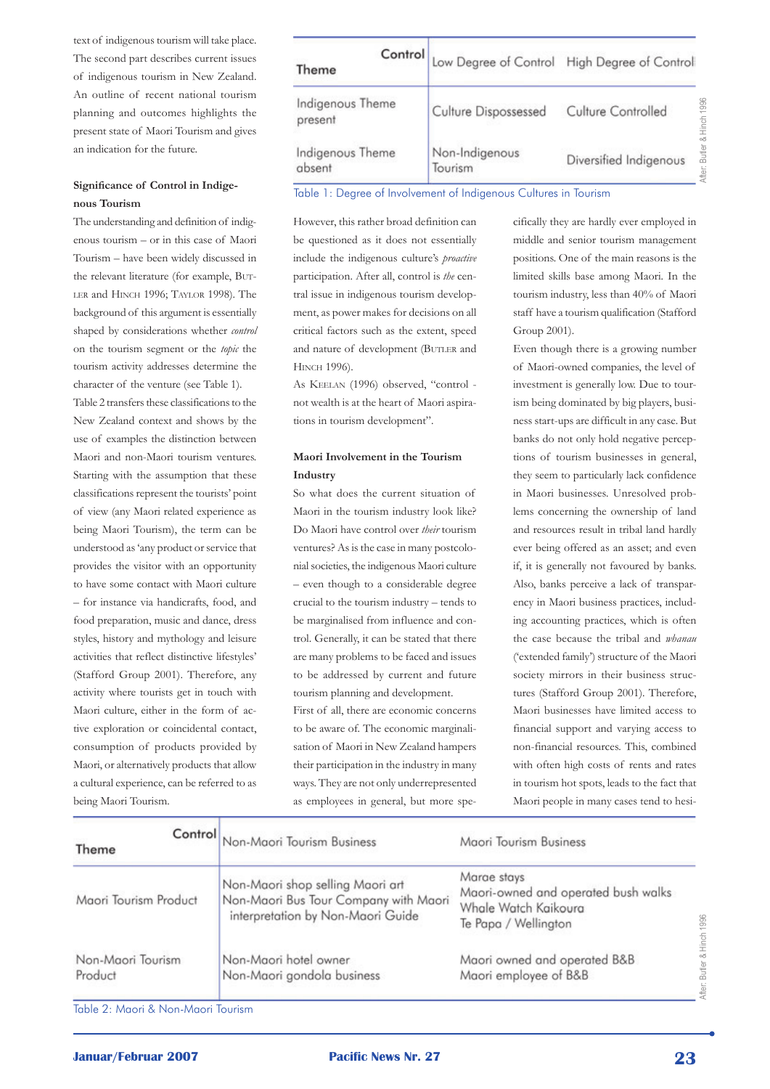text of indigenous tourism will take place. The second part describes current issues of indigenous tourism in New Zealand. An outline of recent national tourism planning and outcomes highlights the present state of Maori Tourism and gives an indication for the future.

#### Significance of Control in Indige**nous Tourism**

The understanding and definition of indigenous tourism – or in this case of Maori Tourism – have been widely discussed in the relevant literature (for example, BUT-LER and HINCH 1996; TAYLOR 1998). The background of this argument is essentially shaped by considerations whether *control* on the tourism segment or the *topic* the tourism activity addresses determine the character of the venture (see Table 1).

Table 2 transfers these classifications to the New Zealand context and shows by the use of examples the distinction between Maori and non-Maori tourism ventures. Starting with the assumption that these classifications represent the tourists' point of view (any Maori related experience as being Maori Tourism), the term can be understood as 'any product or service that provides the visitor with an opportunity to have some contact with Maori culture – for instance via handicrafts, food, and food preparation, music and dance, dress styles, history and mythology and leisure activities that reflect distinctive lifestyles' (Stafford Group 2001). Therefore, any activity where tourists get in touch with Maori culture, either in the form of active exploration or coincidental contact, consumption of products provided by Maori, or alternatively products that allow a cultural experience, can be referred to as being Maori Tourism.

| Control<br>Theme            |                           | Low Degree of Control High Degree of Control |
|-----------------------------|---------------------------|----------------------------------------------|
| Indigenous Theme<br>present | Culture Dispossessed      | Culture Controlled                           |
| Indigenous Theme<br>absent  | Non-Indigenous<br>Tourism | Diversified Indigenous                       |

Table 1: Degree of Involvement of Indigenous Cultures in Tourism

However, this rather broad definition can be questioned as it does not essentially include the indigenous culture's *proactive* participation. After all, control is *the* central issue in indigenous tourism development, as power makes for decisions on all critical factors such as the extent, speed and nature of development (BUTLER and HINCH 1996).

As KEELAN (1996) observed, "control not wealth is at the heart of Maori aspirations in tourism development".

### **Maori Involvement in the Tourism Industry**

So what does the current situation of Maori in the tourism industry look like? Do Maori have control over *their* tourism ventures? As is the case in many postcolonial societies, the indigenous Maori culture – even though to a considerable degree crucial to the tourism industry – tends to be marginalised from influence and control. Generally, it can be stated that there are many problems to be faced and issues to be addressed by current and future tourism planning and development.

First of all, there are economic concerns to be aware of. The economic marginalisation of Maori in New Zealand hampers their participation in the industry in many ways. They are not only underrepresented as employees in general, but more specifically they are hardly ever employed in middle and senior tourism management positions. One of the main reasons is the limited skills base among Maori. In the tourism industry, less than 40% of Maori staff have a tourism qualification (Stafford Group 2001).

Even though there is a growing number of Maori-owned companies, the level of investment is generally low. Due to tourism being dominated by big players, business start-ups are difficult in any case. But banks do not only hold negative perceptions of tourism businesses in general, they seem to particularly lack confidence in Maori businesses. Unresolved problems concerning the ownership of land and resources result in tribal land hardly ever being offered as an asset; and even if, it is generally not favoured by banks. Also, banks perceive a lack of transparency in Maori business practices, including accounting practices, which is often the case because the tribal and *whanau* ('extended family') structure of the Maori society mirrors in their business structures (Stafford Group 2001). Therefore, Maori businesses have limited access to financial support and varying access to non-financial resources. This, combined with often high costs of rents and rates in tourism hot spots, leads to the fact that Maori people in many cases tend to hesi-

| Control<br>Theme             | Non-Maori Tourism Business                                                                                     | Maori Tourism Business                                                                             |
|------------------------------|----------------------------------------------------------------------------------------------------------------|----------------------------------------------------------------------------------------------------|
| Maori Tourism Product        | Non-Maori shop selling Maori art<br>Non-Maori Bus Tour Company with Maori<br>interpretation by Non-Maori Guide | Marae stays<br>Maori-owned and operated bush walks<br>Whale Watch Kaikoura<br>Te Papa / Wellington |
| Non-Maori Tourism<br>Product | Non-Maori hotel owner<br>Non-Maori gondola business                                                            | Maori owned and operated B&B<br>Maori employee of B&B                                              |

Table 2: Maori & Non-Maori Tourism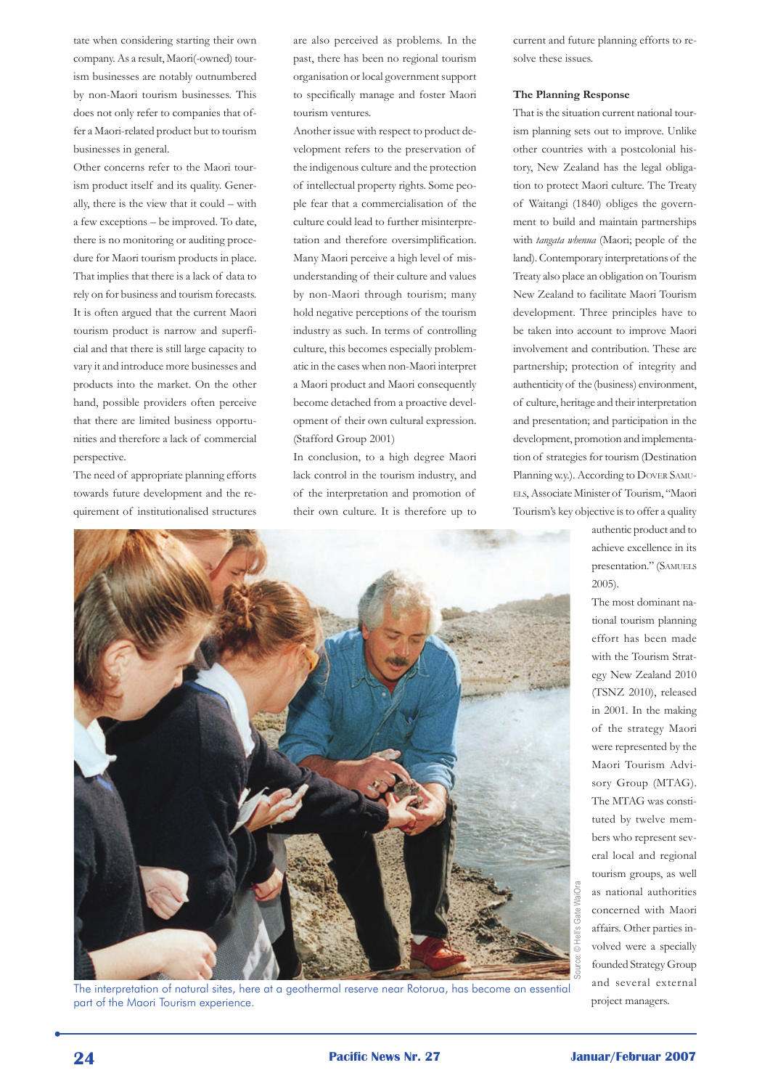tate when considering starting their own company. As a result, Maori(-owned) tourism businesses are notably outnumbered by non-Maori tourism businesses. This does not only refer to companies that offer a Maori-related product but to tourism businesses in general.

Other concerns refer to the Maori tourism product itself and its quality. Generally, there is the view that it could – with a few exceptions – be improved. To date, there is no monitoring or auditing procedure for Maori tourism products in place. That implies that there is a lack of data to rely on for business and tourism forecasts. It is often argued that the current Maori tourism product is narrow and superficial and that there is still large capacity to vary it and introduce more businesses and products into the market. On the other hand, possible providers often perceive that there are limited business opportunities and therefore a lack of commercial perspective.

The need of appropriate planning efforts towards future development and the requirement of institutionalised structures are also perceived as problems. In the past, there has been no regional tourism organisation or local government support to specifically manage and foster Maori tourism ventures.

Another issue with respect to product development refers to the preservation of the indigenous culture and the protection of intellectual property rights. Some people fear that a commercialisation of the culture could lead to further misinterpretation and therefore oversimplification. Many Maori perceive a high level of misunderstanding of their culture and values by non-Maori through tourism; many hold negative perceptions of the tourism industry as such. In terms of controlling culture, this becomes especially problematic in the cases when non-Maori interpret a Maori product and Maori consequently become detached from a proactive development of their own cultural expression. (Stafford Group 2001)

In conclusion, to a high degree Maori lack control in the tourism industry, and of the interpretation and promotion of their own culture. It is therefore up to

current and future planning efforts to resolve these issues.

#### **The Planning Response**

That is the situation current national tourism planning sets out to improve. Unlike other countries with a postcolonial history, New Zealand has the legal obligation to protect Maori culture. The Treaty of Waitangi (1840) obliges the government to build and maintain partnerships with *tangata whenua* (Maori; people of the land). Contemporary interpretations of the Treaty also place an obligation on Tourism New Zealand to facilitate Maori Tourism development. Three principles have to be taken into account to improve Maori involvement and contribution. These are partnership; protection of integrity and authenticity of the (business) environment, of culture, heritage and their interpretation and presentation; and participation in the development, promotion and implementation of strategies for tourism (Destination Planning w.y.). According to DOVER SAMU-ELS, Associate Minister of Tourism, "Maori Tourism's key objective is to offer a quality

> authentic product and to achieve excellence in its presentation." (SAMUELS 2005).

The most dominant national tourism planning effort has been made with the Tourism Strategy New Zealand 2010 (TSNZ 2010), released in 2001. In the making of the strategy Maori were represented by the Maori Tourism Advisory Group (MTAG). The MTAG was constituted by twelve members who represent several local and regional tourism groups, as well as national authorities concerned with Maori affairs. Other parties involved were a specially founded Strategy Group and several external project managers.



The interpretation of natural sites, here at a geothermal reserve near Rotorua, has become an essential part of the Maori Tourism experience.